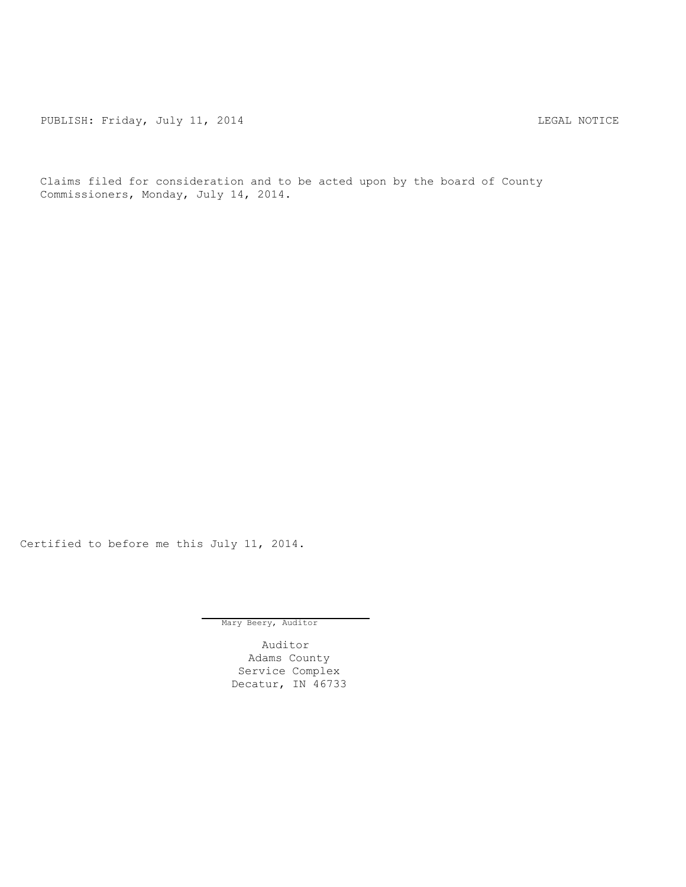PUBLISH: Friday, July 11, 2014 CHARL STATES AND THE MOTICE

Claims filed for consideration and to be acted upon by the board of County Commissioners, Monday, July 14, 2014.

Certified to before me this July 11, 2014.

Mary Beery, Auditor

Auditor Adams County Service Complex Decatur, IN 46733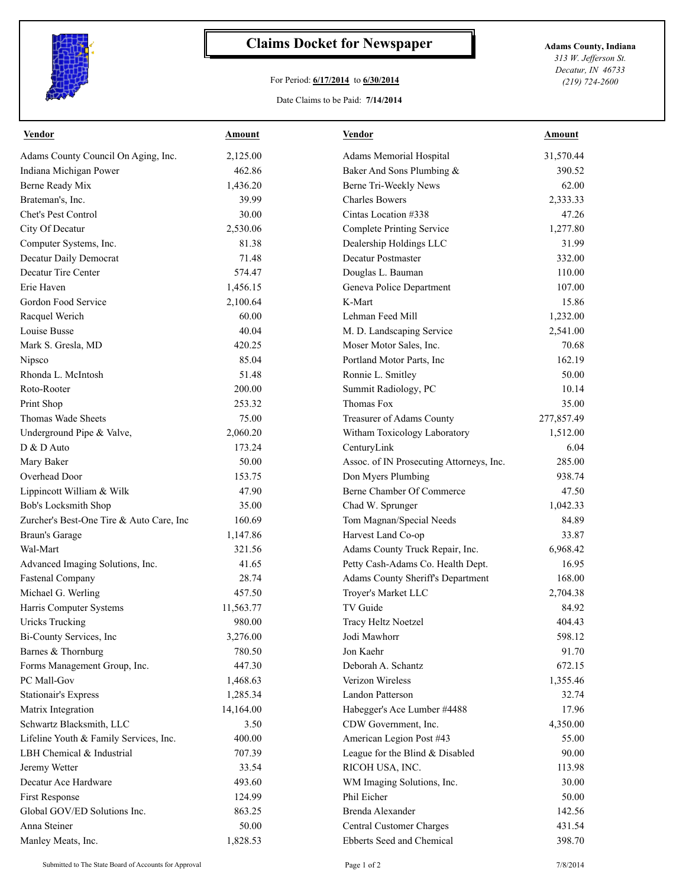

## **Claims Docket for Newspaper Adams County, Indiana**

## For Period: **6/17/2014** to **6/30/2014**

*313 W. Jefferson St. Decatur, IN 46733 (219) 724-2600*

## Date Claims to be Paid: **7/14/2014**

| <b>Vendor</b>                            | <b>Amount</b> | <b>Vendor</b>                            | <b>Amount</b> |
|------------------------------------------|---------------|------------------------------------------|---------------|
| Adams County Council On Aging, Inc.      | 2,125.00      | Adams Memorial Hospital                  | 31,570.44     |
| Indiana Michigan Power                   | 462.86        | Baker And Sons Plumbing &                | 390.52        |
| Berne Ready Mix                          | 1,436.20      | Berne Tri-Weekly News                    | 62.00         |
| Brateman's, Inc.                         | 39.99         | <b>Charles Bowers</b>                    | 2,333.33      |
| Chet's Pest Control                      | 30.00         | Cintas Location #338                     | 47.26         |
| City Of Decatur                          | 2,530.06      | Complete Printing Service                | 1,277.80      |
| Computer Systems, Inc.                   | 81.38         | Dealership Holdings LLC                  | 31.99         |
| Decatur Daily Democrat                   | 71.48         | Decatur Postmaster                       | 332.00        |
| Decatur Tire Center                      | 574.47        | Douglas L. Bauman                        | 110.00        |
| Erie Haven                               | 1,456.15      | Geneva Police Department                 | 107.00        |
| Gordon Food Service                      | 2,100.64      | K-Mart                                   | 15.86         |
| Racquel Werich                           | 60.00         | Lehman Feed Mill                         | 1,232.00      |
| Louise Busse                             | 40.04         | M. D. Landscaping Service                | 2,541.00      |
| Mark S. Gresla, MD                       | 420.25        | Moser Motor Sales, Inc.                  | 70.68         |
| Nipsco                                   | 85.04         | Portland Motor Parts, Inc                | 162.19        |
| Rhonda L. McIntosh                       | 51.48         | Ronnie L. Smitley                        | 50.00         |
| Roto-Rooter                              | 200.00        | Summit Radiology, PC                     | 10.14         |
| Print Shop                               | 253.32        | Thomas Fox                               | 35.00         |
| Thomas Wade Sheets                       | 75.00         | Treasurer of Adams County                | 277,857.49    |
| Underground Pipe & Valve,                | 2,060.20      | Witham Toxicology Laboratory             | 1,512.00      |
| D & D Auto                               | 173.24        | CenturyLink                              | 6.04          |
| Mary Baker                               | 50.00         | Assoc. of IN Prosecuting Attorneys, Inc. | 285.00        |
| Overhead Door                            | 153.75        | Don Myers Plumbing                       | 938.74        |
| Lippincott William & Wilk                | 47.90         | Berne Chamber Of Commerce                | 47.50         |
| Bob's Locksmith Shop                     | 35.00         | Chad W. Sprunger                         | 1,042.33      |
| Zurcher's Best-One Tire & Auto Care, Inc | 160.69        | Tom Magnan/Special Needs                 | 84.89         |
| <b>Braun's Garage</b>                    | 1,147.86      | Harvest Land Co-op                       | 33.87         |
| Wal-Mart                                 | 321.56        | Adams County Truck Repair, Inc.          | 6,968.42      |
| Advanced Imaging Solutions, Inc.         | 41.65         | Petty Cash-Adams Co. Health Dept.        | 16.95         |
| <b>Fastenal Company</b>                  | 28.74         | Adams County Sheriff's Department        | 168.00        |
| Michael G. Werling                       | 457.50        | Troyer's Market LLC                      | 2,704.38      |
| Harris Computer Systems                  | 11,563.77     | TV Guide                                 | 84.92         |
| Uricks Trucking                          | 980.00        | Tracy Heltz Noetzel                      | 404.43        |
| Bi-County Services, Inc                  | 3,276.00      | Jodi Mawhorr                             | 598.12        |
| Barnes & Thornburg                       | 780.50        | Jon Kaehr                                | 91.70         |
| Forms Management Group, Inc.             | 447.30        | Deborah A. Schantz                       | 672.15        |
| PC Mall-Gov                              | 1,468.63      | Verizon Wireless                         | 1,355.46      |
| <b>Stationair's Express</b>              | 1,285.34      | Landon Patterson                         | 32.74         |
| Matrix Integration                       | 14,164.00     | Habegger's Ace Lumber #4488              | 17.96         |
| Schwartz Blacksmith, LLC                 | 3.50          | CDW Government, Inc.                     | 4,350.00      |
| Lifeline Youth & Family Services, Inc.   | 400.00        | American Legion Post #43                 | 55.00         |
| LBH Chemical & Industrial                | 707.39        | League for the Blind & Disabled          | 90.00         |
| Jeremy Wetter                            | 33.54         | RICOH USA, INC.                          | 113.98        |
| Decatur Ace Hardware                     | 493.60        | WM Imaging Solutions, Inc.               | 30.00         |
| First Response                           | 124.99        | Phil Eicher                              | 50.00         |
| Global GOV/ED Solutions Inc.             | 863.25        | Brenda Alexander                         | 142.56        |
| Anna Steiner                             | 50.00         | Central Customer Charges                 | 431.54        |
| Manley Meats, Inc.                       | 1,828.53      | Ebberts Seed and Chemical                | 398.70        |
|                                          |               |                                          |               |